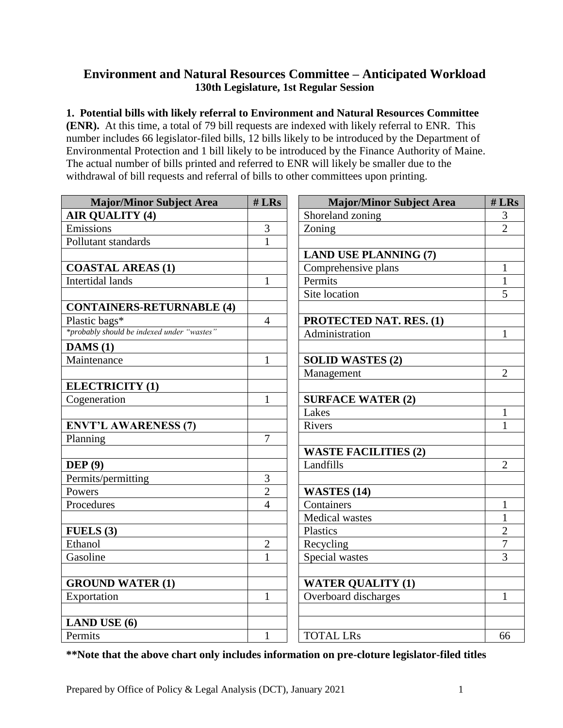## **Environment and Natural Resources Committee – Anticipated Workload 130th Legislature, 1st Regular Session**

## **1. Potential bills with likely referral to Environment and Natural Resources Committee**

**(ENR).** At this time, a total of 79 bill requests are indexed with likely referral to ENR. This number includes 66 legislator-filed bills, 12 bills likely to be introduced by the Department of Environmental Protection and 1 bill likely to be introduced by the Finance Authority of Maine. The actual number of bills printed and referred to ENR will likely be smaller due to the withdrawal of bill requests and referral of bills to other committees upon printing.

| <b>Major/Minor Subject Area</b>            | $# L$ Rs       | <b>Major/Minor Subject Area</b> | $# L$ Rs       |
|--------------------------------------------|----------------|---------------------------------|----------------|
| <b>AIR QUALITY (4)</b>                     |                | Shoreland zoning                | 3              |
| Emissions                                  | $\overline{3}$ | Zoning                          | $\overline{2}$ |
| Pollutant standards                        | $\mathbf{1}$   |                                 |                |
|                                            |                | <b>LAND USE PLANNING (7)</b>    |                |
| <b>COASTAL AREAS (1)</b>                   |                | Comprehensive plans             | $\mathbf{1}$   |
| <b>Intertidal lands</b>                    | $\mathbf{1}$   | Permits                         | $\mathbf{1}$   |
|                                            |                | Site location                   | 5              |
| <b>CONTAINERS-RETURNABLE (4)</b>           |                |                                 |                |
| Plastic bags*                              | $\overline{4}$ | <b>PROTECTED NAT. RES. (1)</b>  |                |
| *probably should be indexed under "wastes" |                | Administration                  | $\mathbf{1}$   |
| DAMS(1)                                    |                |                                 |                |
| Maintenance                                | $\mathbf{1}$   | <b>SOLID WASTES (2)</b>         |                |
|                                            |                | Management                      | $\overline{2}$ |
| <b>ELECTRICITY (1)</b>                     |                |                                 |                |
| Cogeneration                               | $\mathbf{1}$   | <b>SURFACE WATER (2)</b>        |                |
|                                            |                | Lakes                           | $\mathbf{1}$   |
| <b>ENVT'L AWARENESS (7)</b>                |                | Rivers                          | 1              |
| Planning                                   | $\overline{7}$ |                                 |                |
|                                            |                | <b>WASTE FACILITIES (2)</b>     |                |
| DEF(9)                                     |                | Landfills                       | $\overline{2}$ |
| Permits/permitting                         | 3              |                                 |                |
| Powers                                     | $\overline{2}$ | <b>WASTES (14)</b>              |                |
| Procedures                                 | $\overline{4}$ | Containers                      | $\mathbf{1}$   |
|                                            |                | <b>Medical</b> wastes           | $\mathbf{1}$   |
| FUELS(3)                                   |                | Plastics                        | $\overline{2}$ |
| Ethanol                                    | $\overline{2}$ | Recycling                       | $\overline{7}$ |
| Gasoline                                   | $\mathbf{1}$   | Special wastes                  | $\overline{3}$ |
|                                            |                |                                 |                |
| <b>GROUND WATER (1)</b>                    |                | <b>WATER QUALITY (1)</b>        |                |
| Exportation                                | $\mathbf{1}$   | Overboard discharges            | $\mathbf{1}$   |
|                                            |                |                                 |                |
| <b>LAND USE (6)</b>                        |                |                                 |                |
| Permits                                    | $\mathbf{1}$   | <b>TOTAL LRs</b>                | 66             |

**\*\*Note that the above chart only includes information on pre-cloture legislator-filed titles**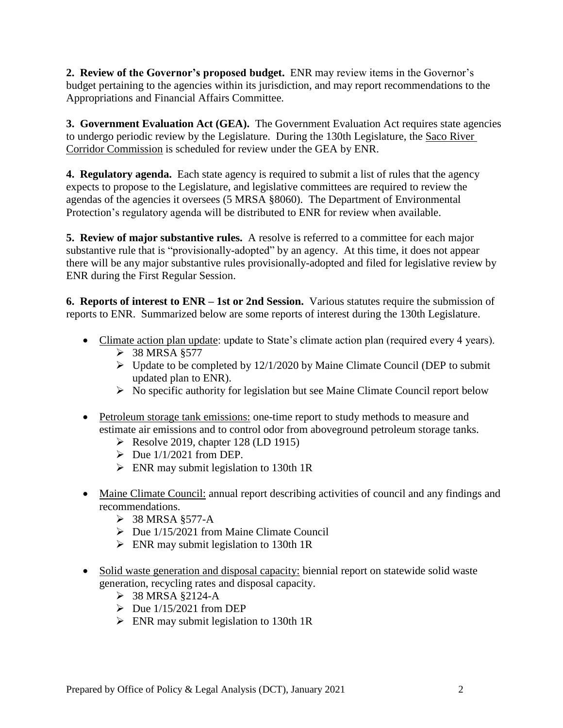**2. Review of the Governor's proposed budget.** ENR may review items in the Governor's budget pertaining to the agencies within its jurisdiction, and may report recommendations to the Appropriations and Financial Affairs Committee.

**3. Government Evaluation Act (GEA).** The Government Evaluation Act requires state agencies to undergo periodic review by the Legislature. During the 130th Legislature, the Saco River Corridor Commission is scheduled for review under the GEA by ENR.

**4. Regulatory agenda.** Each state agency is required to submit a list of rules that the agency expects to propose to the Legislature, and legislative committees are required to review the agendas of the agencies it oversees (5 MRSA §8060). The Department of Environmental Protection's regulatory agenda will be distributed to ENR for review when available.

**5. Review of major substantive rules.** A resolve is referred to a committee for each major substantive rule that is "provisionally-adopted" by an agency. At this time, it does not appear there will be any major substantive rules provisionally-adopted and filed for legislative review by ENR during the First Regular Session.

**6. Reports of interest to ENR – 1st or 2nd Session.** Various statutes require the submission of reports to ENR. Summarized below are some reports of interest during the 130th Legislature.

- Climate action plan update: update to State's climate action plan (required every 4 years).
	- $>$  38 MRSA §577
	- ➢ Update to be completed by 12/1/2020 by Maine Climate Council (DEP to submit updated plan to ENR).
	- ➢ No specific authority for legislation but see Maine Climate Council report below
- Petroleum storage tank emissions: one-time report to study methods to measure and estimate air emissions and to control odor from aboveground petroleum storage tanks.
	- $\triangleright$  Resolve 2019, chapter 128 (LD 1915)
	- $\triangleright$  Due 1/1/2021 from DEP.
	- $\triangleright$  ENR may submit legislation to 130th 1R
- Maine Climate Council: annual report describing activities of council and any findings and recommendations.
	- $\geq$  38 MRSA §577-A
	- $\triangleright$  Due 1/15/2021 from Maine Climate Council
	- ➢ ENR may submit legislation to 130th 1R
- Solid waste generation and disposal capacity: biennial report on statewide solid waste generation, recycling rates and disposal capacity.
	- $>$  38 MRSA §2124-A
	- $\triangleright$  Due 1/15/2021 from DEP
	- $\triangleright$  ENR may submit legislation to 130th 1R